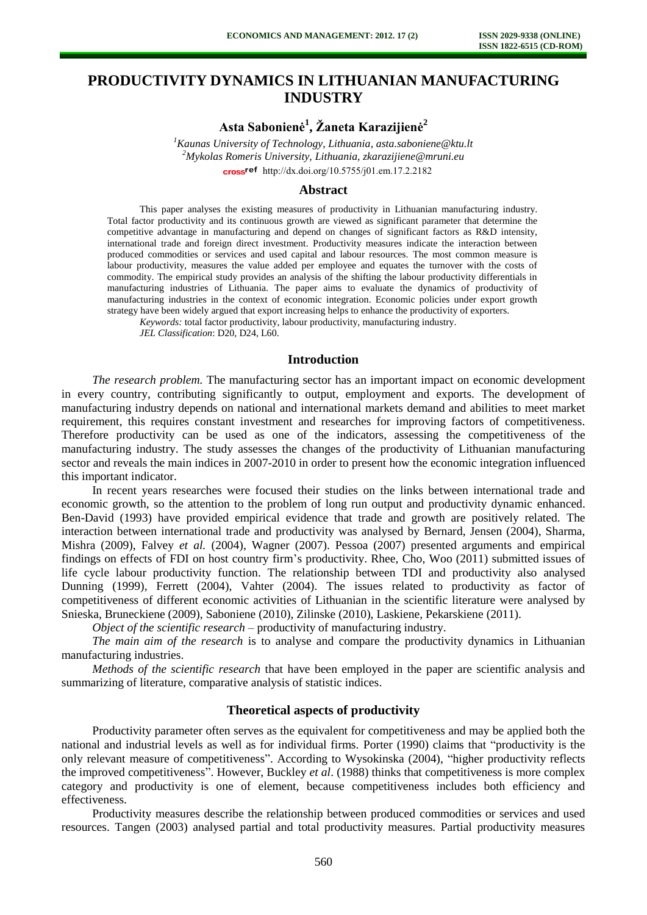# **PRODUCTIVITY DYNAMICS IN LITHUANIAN MANUFACTURING INDUSTRY**

**Asta Sabonienė<sup>1</sup> , Žaneta Karazijienė<sup>2</sup>**

*<sup>1</sup>Kaunas University of Technology, Lithuania, [asta.saboniene@ktu.lt](mailto:asta.saboniene@ktu.lt) <sup>2</sup>Mykolas Romeris University, Lithuania, zkarazijiene@mruni.eu* cross<sup>ref</sup> [http://dx.doi.org/10.5755/j01.e](http://dx.doi.org/10.5755/j01.em.17.2.2182)m.17.2.2182

#### **Abstract**

This paper analyses the existing measures of productivity in Lithuanian manufacturing industry. Total factor productivity and its continuous growth are viewed as significant parameter that determine the competitive advantage in manufacturing and depend on changes of significant factors as R&D intensity, international trade and foreign direct investment. Productivity measures indicate the interaction between produced commodities or services and used capital and labour resources. The most common measure is labour productivity, measures the value added per employee and equates the turnover with the costs of commodity. The empirical study provides an analysis of the shifting the labour productivity differentials in manufacturing industries of Lithuania. The paper aims to evaluate the dynamics of productivity of manufacturing industries in the context of economic integration. Economic policies under export growth strategy have been widely argued that export increasing helps to enhance the productivity of exporters.

*Keywords:* total factor productivity, labour productivity, manufacturing industry.

*JEL Classification*: D20, D24, L60.

### **Introduction**

*The research problem.* The manufacturing sector has an important impact on economic development in every country, contributing significantly to output, employment and exports. The development of manufacturing industry depends on national and international markets demand and abilities to meet market requirement, this requires constant investment and researches for improving factors of competitiveness. Therefore productivity can be used as one of the indicators, assessing the competitiveness of the manufacturing industry. The study assesses the changes of the productivity of Lithuanian manufacturing sector and reveals the main indices in 2007-2010 in order to present how the economic integration influenced this important indicator.

In recent years researches were focused their studies on the links between international trade and economic growth, so the attention to the problem of long run output and productivity dynamic enhanced. Ben-David (1993) have provided empirical evidence that trade and growth are positively related. The interaction between international trade and productivity was analysed by Bernard, Jensen (2004), Sharma, Mishra (2009), Falvey *et al.* (2004), Wagner (2007). Pessoa (2007) presented arguments and empirical findings on effects of FDI on host country firm's productivity. Rhee, Cho, Woo (2011) submitted issues of life cycle labour productivity function. The relationship between TDI and productivity also analysed Dunning (1999), Ferrett (2004), Vahter (2004). The issues related to productivity as factor of competitiveness of different economic activities of Lithuanian in the scientific literature were analysed by Snieska, Bruneckiene (2009), Saboniene (2010), Zilinske (2010), Laskiene, Pekarskiene (2011).

*Object of the scientific research* – productivity of manufacturing industry.

*The main aim of the research* is to analyse and compare the productivity dynamics in Lithuanian manufacturing industries.

*Methods of the scientific research* that have been employed in the paper are scientific analysis and summarizing of literature, comparative analysis of statistic indices.

## **Theoretical aspects of productivity**

Productivity parameter often serves as the equivalent for competitiveness and may be applied both the national and industrial levels as well as for individual firms. Porter (1990) claims that "productivity is the only relevant measure of competitiveness". According to Wysokinska (2004), "higher productivity reflects the improved competitiveness". However, Buckley *et al*. (1988) thinks that competitiveness is more complex category and productivity is one of element, because competitiveness includes both efficiency and effectiveness.

Productivity measures describe the relationship between produced commodities or services and used resources. Tangen (2003) analysed partial and total productivity measures. Partial productivity measures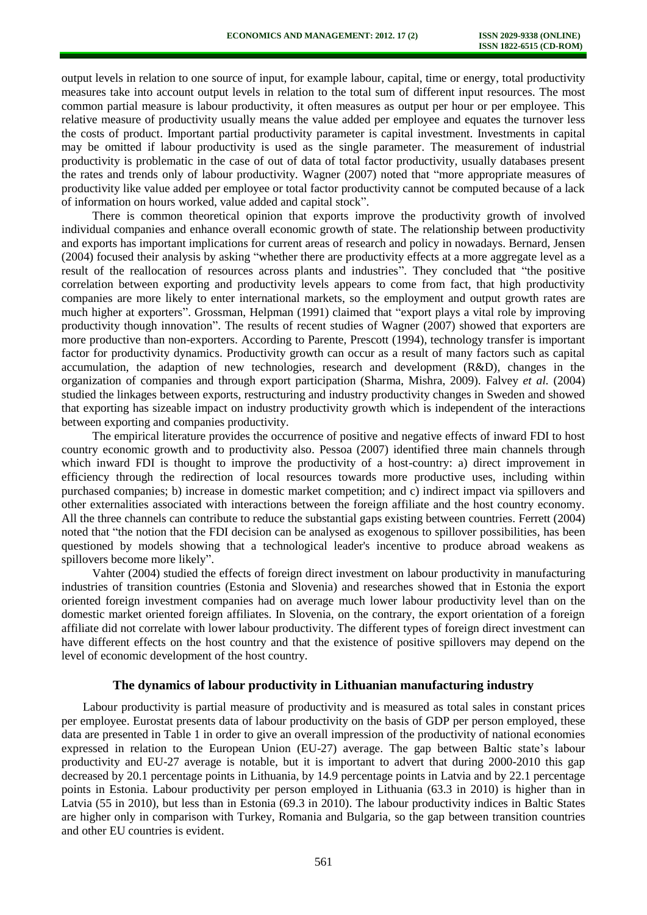output levels in relation to one source of input, for example labour, capital, time or energy, total productivity measures take into account output levels in relation to the total sum of different input resources. The most common partial measure is labour productivity, it often measures as output per hour or per employee. This relative measure of productivity usually means the value added per employee and equates the turnover less the costs of product. Important partial productivity parameter is capital investment. Investments in capital may be omitted if labour productivity is used as the single parameter. The measurement of industrial productivity is problematic in the case of out of data of total factor productivity, usually databases present the rates and trends only of labour productivity. Wagner (2007) noted that "more appropriate measures of productivity like value added per employee or total factor productivity cannot be computed because of a lack of information on hours worked, value added and capital stock".

There is common theoretical opinion that exports improve the productivity growth of involved individual companies and enhance overall economic growth of state. The relationship between productivity and exports has important implications for current areas of research and policy in nowadays. Bernard, Jensen (2004) focused their analysis by asking "whether there are productivity effects at a more aggregate level as a result of the reallocation of resources across plants and industries". They concluded that "the positive correlation between exporting and productivity levels appears to come from fact, that high productivity companies are more likely to enter international markets, so the employment and output growth rates are much higher at exporters". Grossman, Helpman (1991) claimed that "export plays a vital role by improving productivity though innovation". The results of recent studies of Wagner (2007) showed that exporters are more productive than non-exporters. According to Parente, Prescott (1994), technology transfer is important factor for productivity dynamics. Productivity growth can occur as a result of many factors such as capital accumulation, the adaption of new technologies, research and development (R&D), changes in the organization of companies and through export participation (Sharma, Mishra, 2009). Falvey *et al.* (2004) studied the linkages between exports, restructuring and industry productivity changes in Sweden and showed that exporting has sizeable impact on industry productivity growth which is independent of the interactions between exporting and companies productivity.

The empirical literature provides the occurrence of positive and negative effects of inward FDI to host country economic growth and to productivity also. Pessoa (2007) identified three main channels through which inward FDI is thought to improve the productivity of a host-country: a) direct improvement in efficiency through the redirection of local resources towards more productive uses, including within purchased companies; b) increase in domestic market competition; and c) indirect impact via spillovers and other externalities associated with interactions between the foreign affiliate and the host country economy. All the three channels can contribute to reduce the substantial gaps existing between countries. Ferrett (2004) noted that "the notion that the FDI decision can be analysed as exogenous to spillover possibilities, has been questioned by models showing that a technological leader's incentive to produce abroad weakens as spillovers become more likely".

Vahter (2004) studied the effects of foreign direct investment on labour productivity in manufacturing industries of transition countries (Estonia and Slovenia) and researches showed that in Estonia the export oriented foreign investment companies had on average much lower labour productivity level than on the domestic market oriented foreign affiliates. In Slovenia, on the contrary, the export orientation of a foreign affiliate did not correlate with lower labour productivity. The different types of foreign direct investment can have different effects on the host country and that the existence of positive spillovers may depend on the level of economic development of the host country.

## **The dynamics of labour productivity in Lithuanian manufacturing industry**

Labour productivity is partial measure of productivity and is measured as total sales in constant prices per employee. Eurostat presents data of labour productivity on the basis of GDP per person employed, these data are presented in Table 1 in order to give an overall impression of the productivity of national economies expressed in relation to the European Union (EU-27) average. The gap between Baltic state's labour productivity and EU-27 average is notable, but it is important to advert that during 2000-2010 this gap decreased by 20.1 percentage points in Lithuania, by 14.9 percentage points in Latvia and by 22.1 percentage points in Estonia. Labour productivity per person employed in Lithuania (63.3 in 2010) is higher than in Latvia (55 in 2010), but less than in Estonia (69.3 in 2010). The labour productivity indices in Baltic States are higher only in comparison with Turkey, Romania and Bulgaria, so the gap between transition countries and other EU countries is evident.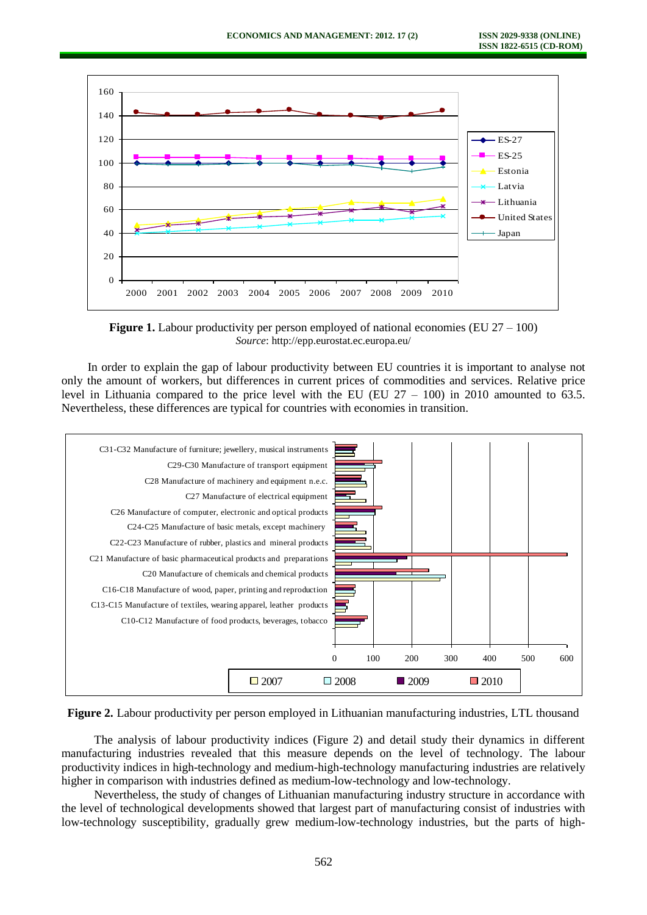

**Figure 1.** Labour productivity per person employed of national economies (EU 27 – 100) *Source*: http://epp.eurostat.ec.europa.eu/

In order to explain the gap of labour productivity between EU countries it is important to analyse not only the amount of workers, but differences in current prices of commodities and services. Relative price level in Lithuania compared to the price level with the EU (EU  $27 - 100$ ) in 2010 amounted to 63.5. Nevertheless, these differences are typical for countries with economies in transition.





The analysis of labour productivity indices (Figure 2) and detail study their dynamics in different manufacturing industries revealed that this measure depends on the level of technology. The labour productivity indices in high-technology and medium-high-technology manufacturing industries are relatively higher in comparison with industries defined as medium-low-technology and low-technology.

Nevertheless, the study of changes of Lithuanian manufacturing industry structure in accordance with the level of technological developments showed that largest part of manufacturing consist of industries with low-technology susceptibility, gradually grew medium-low-technology industries, but the parts of high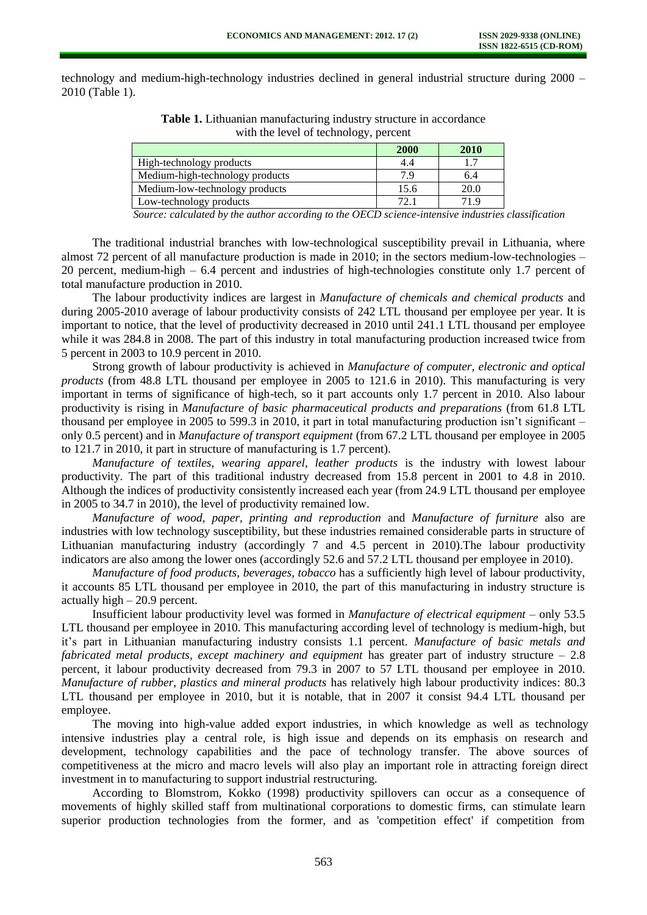technology and medium-high-technology industries declined in general industrial structure during 2000 – 2010 (Table 1).

|                                 | <b>2000</b> | 2010 |
|---------------------------------|-------------|------|
| High-technology products        | 4.4         |      |
| Medium-high-technology products | 79          | 6.4  |
| Medium-low-technology products  | 15.6        | 20.0 |
| Low-technology products         | 72.1        | 71.9 |

**Table 1.** Lithuanian manufacturing industry structure in accordance with the level of technology, percent

*Source: calculated by the author according to the OECD science-intensive industries classification*

The traditional industrial branches with low-technological susceptibility prevail in Lithuania, where almost 72 percent of all manufacture production is made in 2010; in the sectors medium-low-technologies – 20 percent, medium-high – 6.4 percent and industries of high-technologies constitute only 1.7 percent of total manufacture production in 2010.

The labour productivity indices are largest in *Manufacture of chemicals and chemical products* and during 2005-2010 average of labour productivity consists of 242 LTL thousand per employee per year. It is important to notice, that the level of productivity decreased in 2010 until 241.1 LTL thousand per employee while it was 284.8 in 2008. The part of this industry in total manufacturing production increased twice from 5 percent in 2003 to 10.9 percent in 2010.

Strong growth of labour productivity is achieved in *Manufacture of computer, electronic and optical products* (from 48.8 LTL thousand per employee in 2005 to 121.6 in 2010). This manufacturing is very important in terms of significance of high-tech, so it part accounts only 1.7 percent in 2010. Also labour productivity is rising in *Manufacture of basic pharmaceutical products and preparations* (from 61.8 LTL thousand per employee in 2005 to 599.3 in 2010, it part in total manufacturing production isn't significant – only 0.5 percent) and in *Manufacture of transport equipment* (from 67.2 LTL thousand per employee in 2005 to 121.7 in 2010, it part in structure of manufacturing is 1.7 percent).

*Manufacture of textiles, wearing apparel, leather products* is the industry with lowest labour productivity. The part of this traditional industry decreased from 15.8 percent in 2001 to 4.8 in 2010. Although the indices of productivity consistently increased each year (from 24.9 LTL thousand per employee in 2005 to 34.7 in 2010), the level of productivity remained low.

*Manufacture of wood, paper, printing and reproduction* and *Manufacture of furniture* also are industries with low technology susceptibility, but these industries remained considerable parts in structure of Lithuanian manufacturing industry (accordingly 7 and 4.5 percent in 2010).The labour productivity indicators are also among the lower ones (accordingly 52.6 and 57.2 LTL thousand per employee in 2010).

*Manufacture of food products, beverages, tobacco* has a sufficiently high level of labour productivity, it accounts 85 LTL thousand per employee in 2010, the part of this manufacturing in industry structure is actually high – 20.9 percent.

Insufficient labour productivity level was formed in *Manufacture of electrical equipment* – only 53.5 LTL thousand per employee in 2010. This manufacturing according level of technology is medium-high, but it's part in Lithuanian manufacturing industry consists 1.1 percent. *Manufacture of basic metals and fabricated metal products, except machinery and equipment* has greater part of industry structure – 2.8 percent, it labour productivity decreased from 79.3 in 2007 to 57 LTL thousand per employee in 2010. *Manufacture of rubber, plastics and mineral products* has relatively high labour productivity indices: 80.3 LTL thousand per employee in 2010, but it is notable, that in 2007 it consist 94.4 LTL thousand per employee.

The moving into high-value added export industries, in which knowledge as well as technology intensive industries play a central role, is high issue and depends on its emphasis on research and development, technology capabilities and the pace of technology transfer. The above sources of competitiveness at the micro and macro levels will also play an important role in attracting foreign direct investment in to manufacturing to support industrial restructuring.

According to Blomstrom, Kokko (1998) productivity spillovers can occur as a consequence of movements of highly skilled staff from multinational corporations to domestic firms, can stimulate learn superior production technologies from the former, and as 'competition effect' if competition from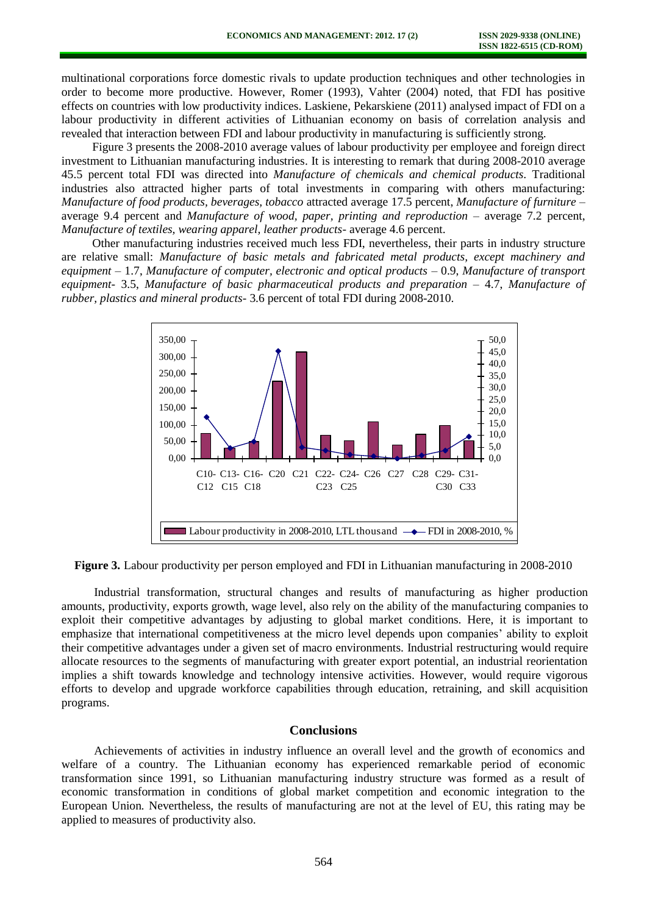multinational corporations force domestic rivals to update production techniques and other technologies in order to become more productive. However, Romer (1993), Vahter (2004) noted, that FDI has positive effects on countries with low productivity indices. Laskiene, Pekarskiene (2011) analysed impact of FDI on a labour productivity in different activities of Lithuanian economy on basis of correlation analysis and revealed that interaction between FDI and labour productivity in manufacturing is sufficiently strong.

Figure 3 presents the 2008-2010 average values of labour productivity per employee and foreign direct investment to Lithuanian manufacturing industries. It is interesting to remark that during 2008-2010 average 45.5 percent total FDI was directed into *Manufacture of chemicals and chemical products.* Traditional industries also attracted higher parts of total investments in comparing with others manufacturing: *Manufacture of food products, beverages, tobacco* attracted average 17.5 percent, *Manufacture of furniture –* average 9.4 percent and *Manufacture of wood, paper, printing and reproduction –* average 7.2 percent, *Manufacture of textiles, wearing apparel, leather products-* average 4.6 percent.

Other manufacturing industries received much less FDI, nevertheless, their parts in industry structure are relative small: *Manufacture of basic metals and fabricated metal products, except machinery and equipment –* 1.7, *Manufacture of computer, electronic and optical products –* 0.9, *Manufacture of transport equipment-* 3.5, *Manufacture of basic pharmaceutical products and preparation –* 4.7, *Manufacture of rubber, plastics and mineral products-* 3.6 percent of total FDI during 2008-2010.



**Figure 3.** Labour productivity per person employed and FDI in Lithuanian manufacturing in 2008-2010

Industrial transformation, structural changes and results of manufacturing as higher production amounts, productivity, exports growth, wage level, also rely on the ability of the manufacturing companies to exploit their competitive advantages by adjusting to global market conditions. Here, it is important to emphasize that international competitiveness at the micro level depends upon companies' ability to exploit their competitive advantages under a given set of macro environments. Industrial restructuring would require allocate resources to the segments of manufacturing with greater export potential, an industrial reorientation implies a shift towards knowledge and technology intensive activities. However, would require vigorous efforts to develop and upgrade workforce capabilities through education, retraining, and skill acquisition programs.

### **Conclusions**

Achievements of activities in industry influence an overall level and the growth of economics and welfare of a country. The Lithuanian economy has experienced remarkable period of economic transformation since 1991, so Lithuanian manufacturing industry structure was formed as a result of economic transformation in conditions of global market competition and economic integration to the European Union*.* Nevertheless, the results of manufacturing are not at the level of EU, this rating may be applied to measures of productivity also.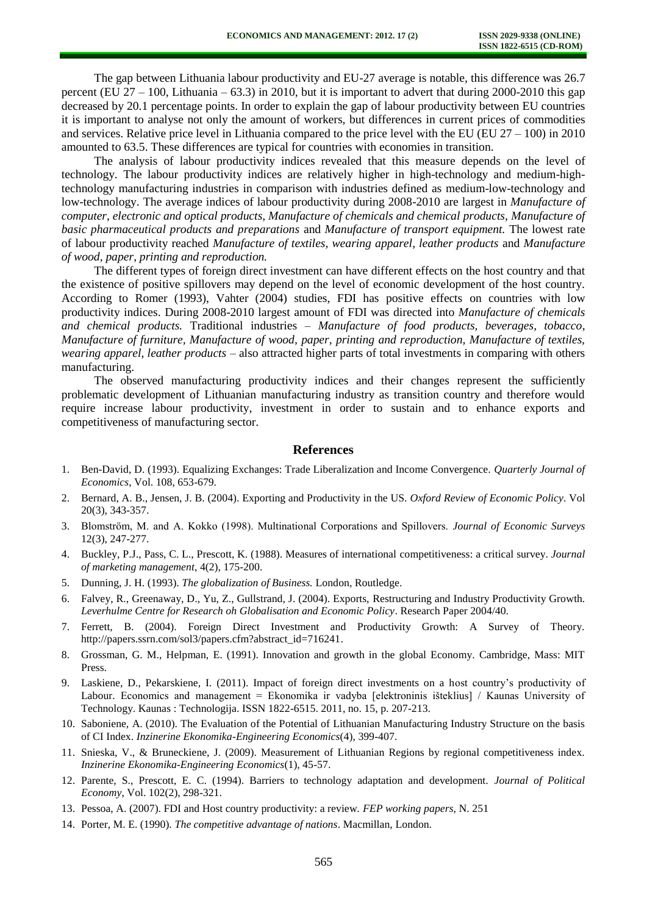The gap between Lithuania labour productivity and EU-27 average is notable, this difference was 26.7 percent (EU 27 *–* 100, Lithuania – 63.3) in 2010, but it is important to advert that during 2000-2010 this gap decreased by 20.1 percentage points. In order to explain the gap of labour productivity between EU countries it is important to analyse not only the amount of workers, but differences in current prices of commodities and services. Relative price level in Lithuania compared to the price level with the EU (EU 27 *–* 100) in 2010 amounted to 63.5. These differences are typical for countries with economies in transition.

The analysis of labour productivity indices revealed that this measure depends on the level of technology. The labour productivity indices are relatively higher in high-technology and medium-hightechnology manufacturing industries in comparison with industries defined as medium-low-technology and low-technology. The average indices of labour productivity during 2008-2010 are largest in *Manufacture of computer, electronic and optical products, Manufacture of chemicals and chemical products, Manufacture of basic pharmaceutical products and preparations* and *Manufacture of transport equipment.* The lowest rate of labour productivity reached *Manufacture of textiles, wearing apparel, leather products* and *Manufacture of wood, paper, printing and reproduction.* 

The different types of foreign direct investment can have different effects on the host country and that the existence of positive spillovers may depend on the level of economic development of the host country. According to Romer (1993), Vahter (2004) studies, FDI has positive effects on countries with low productivity indices. During 2008-2010 largest amount of FDI was directed into *Manufacture of chemicals and chemical products.* Traditional industries *– Manufacture of food products, beverages, tobacco*, *Manufacture of furniture, Manufacture of wood, paper, printing and reproduction, Manufacture of textiles, wearing apparel, leather products –* also attracted higher parts of total investments in comparing with others manufacturing.

The observed manufacturing productivity indices and their changes represent the sufficiently problematic development of Lithuanian manufacturing industry as transition country and therefore would require increase labour productivity, investment in order to sustain and to enhance exports and competitiveness of manufacturing sector.

## **References**

- 1. Ben-David, D. (1993). Equalizing Exchanges: Trade Liberalization and Income Convergence. *Quarterly Journal of Economics*, Vol. 108, 653-679.
- 2. Bernard, A. B., Jensen, J. B. (2004). Exporting and Productivity in the US. *Oxford Review of Economic Policy*. Vol 20(3), 343-357.
- 3. Blomström, M. and A. Kokko (1998). Multinational Corporations and Spillovers. *Journal of Economic Surveys* 12(3), 247-277.
- 4. Buckley, P.J., Pass, C. L., Prescott, K. (1988). Measures of international competitiveness: a critical survey. *Journal of marketing management*, 4(2), 175-200.
- 5. Dunning, J. H. (1993). *The globalization of Business.* London, Routledge.
- 6. Falvey, R., Greenaway, D., Yu, Z., Gullstrand, J. (2004). Exports, Restructuring and Industry Productivity Growth. *Leverhulme Centre for Research oh Globalisation and Economic Policy*. Research Paper 2004/40.
- 7. Ferrett, B. (2004). Foreign Direct Investment and Productivity Growth: A Survey of Theory. [http://papers.ssrn.com/sol3/papers.cfm?abstract\\_id=716241.](http://papers.ssrn.com/sol3/papers.cfm?abstract_id=716241)
- 8. Grossman, G. M., Helpman, E. (1991). Innovation and growth in the global Economy. Cambridge, Mass: MIT Press.
- 9. Laskiene, D., Pekarskiene, I. (2011). Impact of foreign direct investments on a host country's productivity of Labour. Economics and management = Ekonomika ir vadyba [elektroninis išteklius] / Kaunas University of Technology. Kaunas : Technologija. ISSN 1822-6515. 2011, no. 15, p. 207-213.
- 10. Saboniene, A. (2010). The Evaluation of the Potential of Lithuanian Manufacturing Industry Structure on the basis of CI Index. *Inzinerine Ekonomika-Engineering Economics*(4), 399-407.
- 11. Snieska, V., & Bruneckiene, J. (2009). Measurement of Lithuanian Regions by regional competitiveness index. *Inzinerine Ekonomika-Engineering Economics*(1), 45-57.
- 12. Parente, S., Prescott, E. C. (1994). Barriers to technology adaptation and development. *Journal of Political Economy*, Vol. 102(2), 298-321.
- 13. Pessoa, A. (2007). FDI and Host country productivity: a review. *FEP working papers*, N. 251
- 14. Porter, M. E. (1990). *The competitive advantage of nations*. Macmillan, London.